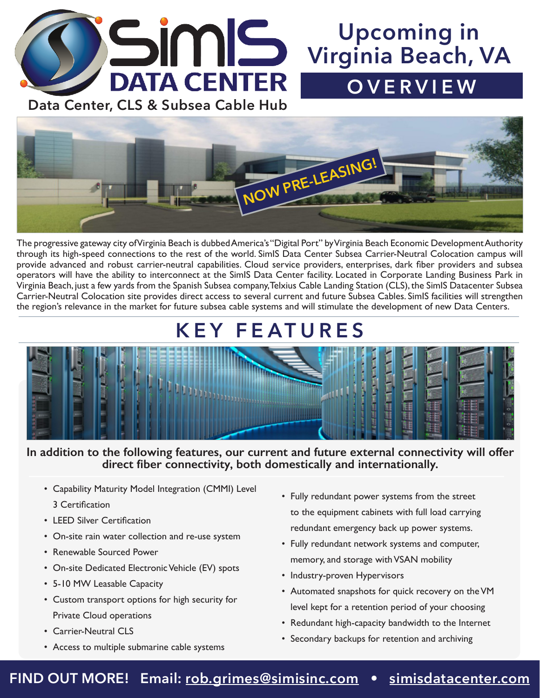

# **Upcoming in Virginia Beach, VA OVERVIEW**



The progressive gateway city of Virginia Beach is dubbed America's "Digital Port" by Virginia Beach Economic Development Authority through its high-speed connections to the rest of the world. SimIS Data Center Subsea Carrier-Neutral Colocation campus will provide advanced and robust carrier-neutral capabilities. Cloud service providers, enterprises, dark fiber providers and subsea operators will have the ability to interconnect at the SimIS Data Center facility. Located in Corporate Landing Business Park in Virginia Beach, just a few yards from the Spanish Subsea company, Telxius Cable Landing Station (CLS), the SimIS Datacenter Subsea Carrier-Neutral Colocation site provides direct access to several current and future Subsea Cables. SimIS facilities will strengthen the region's relevance in the market for future subsea cable systems and will stimulate the development of new Data Centers.

# **KEY FEATURES**



#### **In addition to the following features, our current and future external connectivity will offer direct fiber connectivity, both domestically and internationally.**

- Capability Maturity Model Integration (CMMI) Level 3 Certification
- LEED Silver Certification
- On-site rain water collection and re-use system
- Renewable Sourced Power
- On-site Dedicated Electronic Vehicle (EV) spots
- 5-10 MW Leasable Capacity
- Custom transport options for high security for Private Cloud operations
- Carrier-Neutral CLS
- Access to multiple submarine cable systems
- Fully redundant power systems from the street to the equipment cabinets with full load carrying redundant emergency back up power systems.
- Fully redundant network systems and computer, memory, and storage with VSAN mobility
- Industry-proven Hypervisors
- Automated snapshots for quick recovery on theVM level kept for a retention period of your choosing
- Redundant high-capacity bandwidth to the Internet
- Secondary backups for retention and archiving